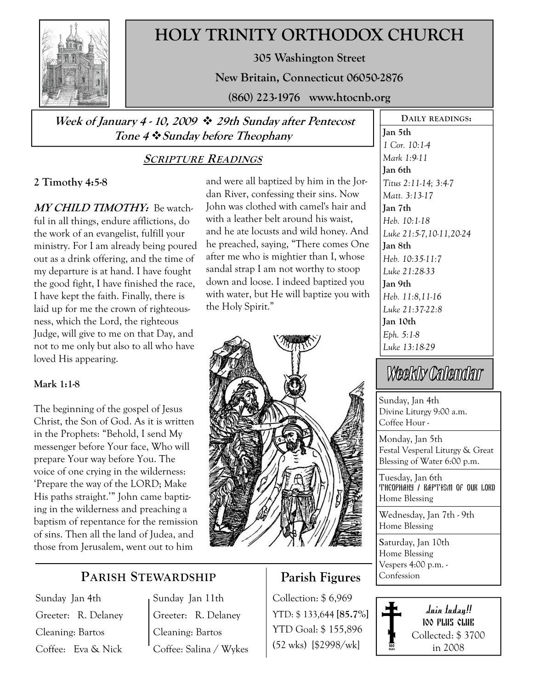

## HOLY TRINITY ORTHODOX CHURCH

305 Washington Street

New Britain, Connecticut 06050-2876

(860) 223-1976 www.htocnb.org

and were all baptized by him in the Jordan River, confessing their sins. Now John was clothed with camel's hair and with a leather belt around his waist, and he ate locusts and wild honey. And he preached, saying, "There comes One after me who is mightier than I, whose sandal strap I am not worthy to stoop down and loose. I indeed baptized you with water, but He will baptize you with

Week of January 4 - 10, 2009  $\cdot$  29th Sunday after Pentecost Tone 4  $\div$  Sunday before Theophany

## SCRIPTURE READINGS

the Holy Spirit."

### 2 Timothy 4:5-8

MY CHILD TIMOTHY: Be watchful in all things, endure afflictions, do the work of an evangelist, fulfill your ministry. For I am already being poured out as a drink offering, and the time of my departure is at hand. I have fought the good fight, I have finished the race, I have kept the faith. Finally, there is laid up for me the crown of righteousness, which the Lord, the righteous Judge, will give to me on that Day, and not to me only but also to all who have loved His appearing.

#### Mark 1:1-8

The beginning of the gospel of Jesus Christ, the Son of God. As it is written in the Prophets: "Behold, I send My messenger before Your face, Who will prepare Your way before You. The voice of one crying in the wilderness: 'Prepare the way of the LORD; Make His paths straight.'" John came baptizing in the wilderness and preaching a baptism of repentance for the remission of sins. Then all the land of Judea, and those from Jerusalem, went out to him

PARISH STEWARDSHIP

Sunday Jan 4th Greeter: R. Delaney Cleaning: Bartos Coffee: Eva & Nick

Sunday Jan 11th Greeter: R. Delaney Cleaning: Bartos Coffee: Salina / Wykes

## Parish Figures

Collection: \$ 6,969 YTD: \$ 133,644 [85.7%] YTD Goal: \$ 155,896 (52 wks) [\$2998/wk]

Jan 5th 1 Cor. 10:1-4 Mark 1:9-11 Jan 6th Titus 2:11-14; 3:4-7 Matt. 3:13-17 Jan 7th Heb. 10:1-18 Luke 21:5-7,10-11,20-24 Jan 8th Heb. 10:35-11:7 Luke 21:28-33 Jan 9th Heb. 11:8,11-16 Luke 21:37-22:8 Jan 10th Eph. 5:1-8 Luke 13:18-29

DAILY READINGS:

# Weekly Calendar

Sunday, Jan 4th Divine Liturgy 9:00 a.m. Coffee Hour -

Monday, Jan 5th Festal Vesperal Liturgy & Great Blessing of Water 6:00 p.m.

Tuesday, Jan 6th THEOPHANY / BAPTISM OF OUR LORD Home Blessing

Wednesday, Jan 7th - 9th Home Blessing

Saturday, Jan 10th Home Blessing Vespers 4:00 p.m. - Confession